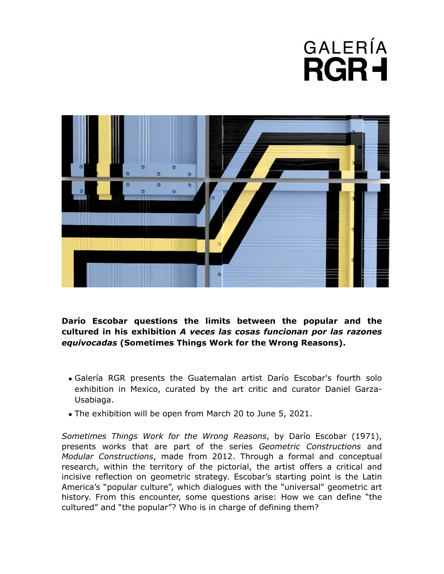## GALERÍA **RGR+**



**Darío Escobar questions the limits between the popular and the cultured in his exhibition** *A veces las cosas funcionan por las razones equivocadas* **(Sometimes Things Work for the Wrong Reasons).** 

- Galería RGR presents the Guatemalan artist Darío Escobar's fourth solo exhibition in Mexico, curated by the art critic and curator Daniel Garza-Usabiaga.
- The exhibition will be open from March 20 to June 5, 2021.

*Sometimes Things Work for the Wrong Reasons*, by Darío Escobar (1971), presents works that are part of the series *Geometric Constructions* and *Modular Constructions*, made from 2012. Through a formal and conceptual research, within the territory of the pictorial, the artist offers a critical and incisive reflection on geometric strategy. Escobar's starting point is the Latin America's "popular culture", which dialogues with the "universal" geometric art history. From this encounter, some questions arise: How we can define "the cultured" and "the popular"? Who is in charge of defining them?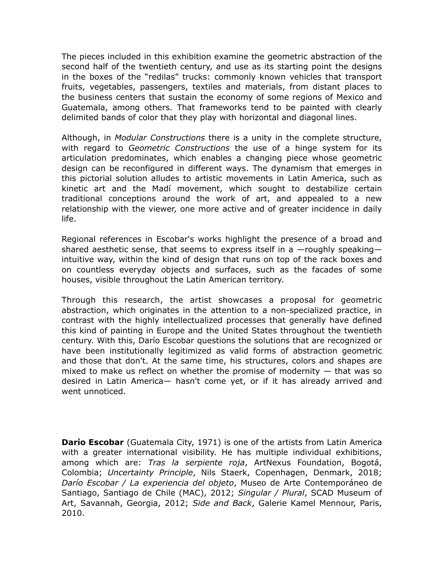The pieces included in this exhibition examine the geometric abstraction of the second half of the twentieth century, and use as its starting point the designs in the boxes of the "redilas" trucks: commonly known vehicles that transport fruits, vegetables, passengers, textiles and materials, from distant places to the business centers that sustain the economy of some regions of Mexico and Guatemala, among others. That frameworks tend to be painted with clearly delimited bands of color that they play with horizontal and diagonal lines.

Although, in *Modular Constructions* there is a unity in the complete structure, with regard to *Geometric Constructions* the use of a hinge system for its articulation predominates, which enables a changing piece whose geometric design can be reconfigured in different ways. The dynamism that emerges in this pictorial solution alludes to artistic movements in Latin America, such as kinetic art and the Madí movement, which sought to destabilize certain traditional conceptions around the work of art, and appealed to a new relationship with the viewer, one more active and of greater incidence in daily life.

Regional references in Escobar's works highlight the presence of a broad and shared aesthetic sense, that seems to express itself in a  $-$ roughly speaking $$ intuitive way, within the kind of design that runs on top of the rack boxes and on countless everyday objects and surfaces, such as the facades of some houses, visible throughout the Latin American territory.

Through this research, the artist showcases a proposal for geometric abstraction, which originates in the attention to a non-specialized practice, in contrast with the highly intellectualized processes that generally have defined this kind of painting in Europe and the United States throughout the twentieth century. With this, Darío Escobar questions the solutions that are recognized or have been institutionally legitimized as valid forms of abstraction geometric and those that don't. At the same time, his structures, colors and shapes are mixed to make us reflect on whether the promise of modernity — that was so desired in Latin America— hasn't come yet, or if it has already arrived and went unnoticed.

**Darío Escobar** (Guatemala City, 1971) is one of the artists from Latin America with a greater international visibility. He has multiple individual exhibitions, among which are: *Tras la serpiente roja*, ArtNexus Foundation, Bogotá, Colombia; *Uncertainty Principle*, Nils Staerk, Copenhagen, Denmark, 2018; *Darío Escobar / La experiencia del objeto*, Museo de Arte Contemporáneo de Santiago, Santiago de Chile (MAC), 2012; *Singular / Plural*, SCAD Museum of Art, Savannah, Georgia, 2012; *Side and Back*, Galerie Kamel Mennour, Paris, 2010.